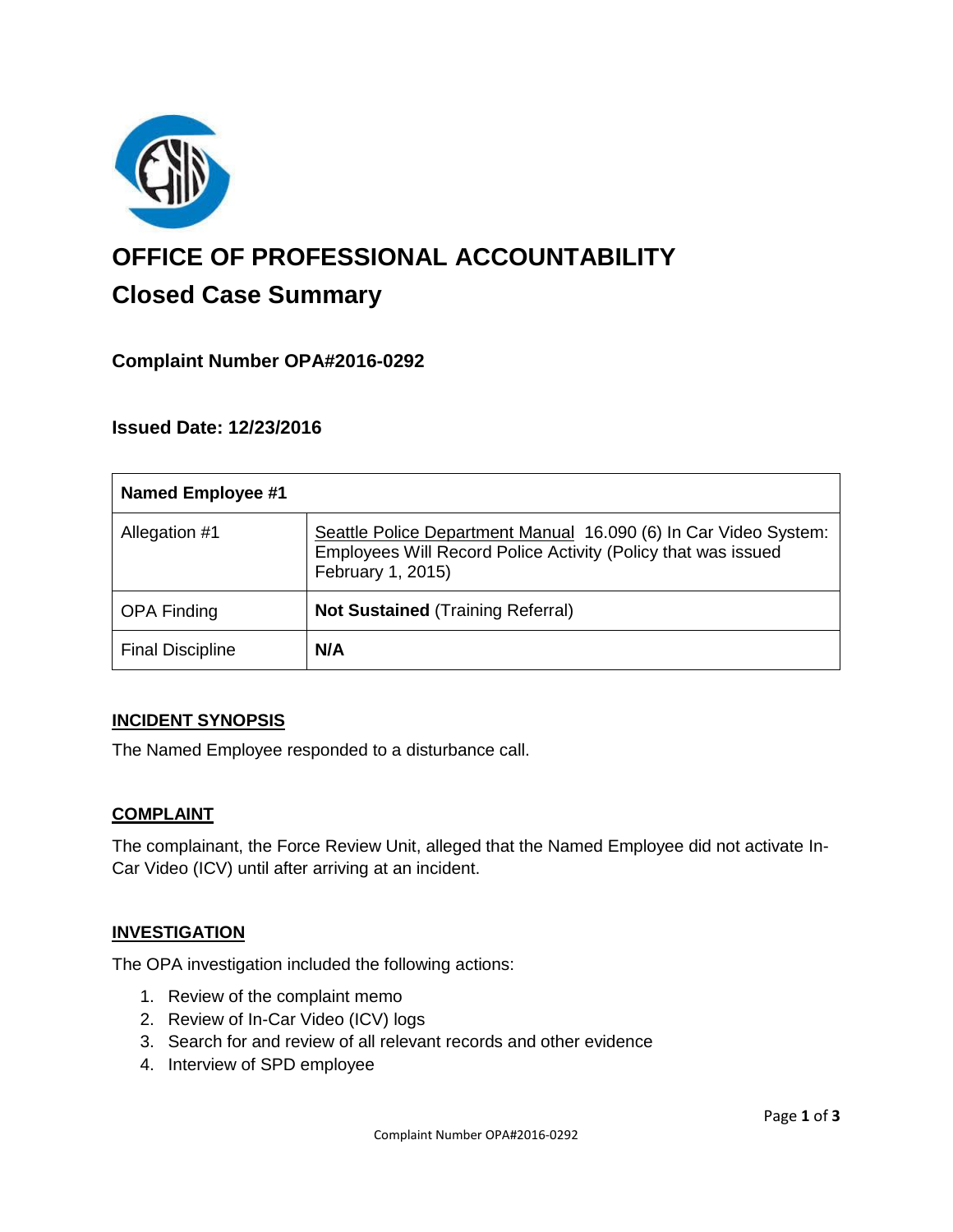

# **OFFICE OF PROFESSIONAL ACCOUNTABILITY Closed Case Summary**

# **Complaint Number OPA#2016-0292**

# **Issued Date: 12/23/2016**

| <b>Named Employee #1</b> |                                                                                                                                                        |
|--------------------------|--------------------------------------------------------------------------------------------------------------------------------------------------------|
| Allegation #1            | Seattle Police Department Manual 16.090 (6) In Car Video System:<br>Employees Will Record Police Activity (Policy that was issued<br>February 1, 2015) |
| <b>OPA Finding</b>       | <b>Not Sustained (Training Referral)</b>                                                                                                               |
| <b>Final Discipline</b>  | N/A                                                                                                                                                    |

#### **INCIDENT SYNOPSIS**

The Named Employee responded to a disturbance call.

#### **COMPLAINT**

The complainant, the Force Review Unit, alleged that the Named Employee did not activate In-Car Video (ICV) until after arriving at an incident.

#### **INVESTIGATION**

The OPA investigation included the following actions:

- 1. Review of the complaint memo
- 2. Review of In-Car Video (ICV) logs
- 3. Search for and review of all relevant records and other evidence
- 4. Interview of SPD employee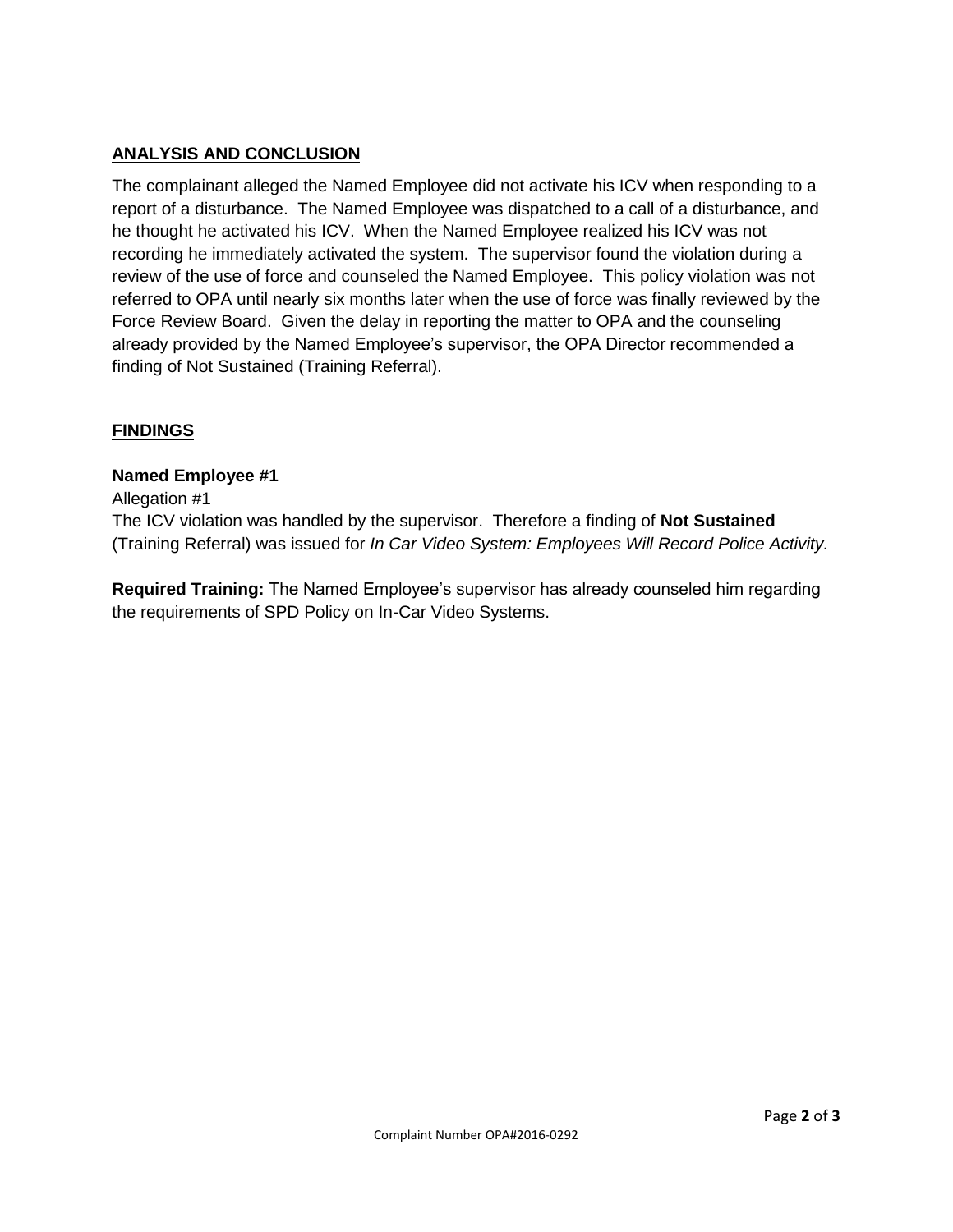# **ANALYSIS AND CONCLUSION**

The complainant alleged the Named Employee did not activate his ICV when responding to a report of a disturbance. The Named Employee was dispatched to a call of a disturbance, and he thought he activated his ICV. When the Named Employee realized his ICV was not recording he immediately activated the system. The supervisor found the violation during a review of the use of force and counseled the Named Employee. This policy violation was not referred to OPA until nearly six months later when the use of force was finally reviewed by the Force Review Board. Given the delay in reporting the matter to OPA and the counseling already provided by the Named Employee's supervisor, the OPA Director recommended a finding of Not Sustained (Training Referral).

# **FINDINGS**

#### **Named Employee #1**

Allegation #1

The ICV violation was handled by the supervisor. Therefore a finding of **Not Sustained** (Training Referral) was issued for *In Car Video System: Employees Will Record Police Activity.*

**Required Training:** The Named Employee's supervisor has already counseled him regarding the requirements of SPD Policy on In-Car Video Systems.